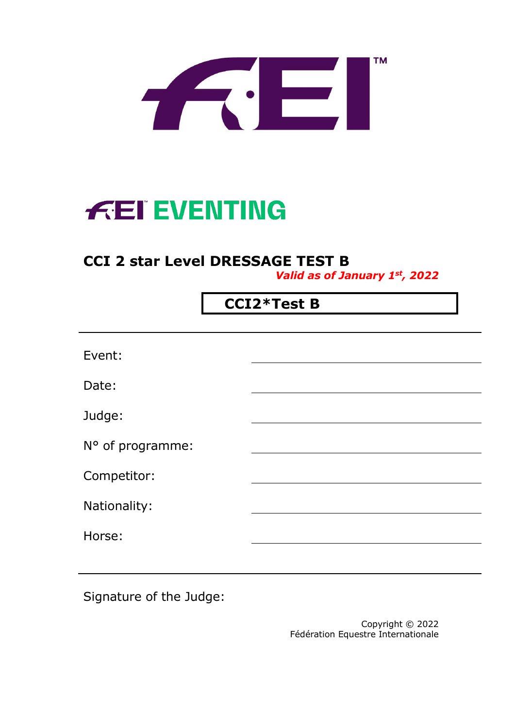

# **FEI EVENTING**

# **CCI 2 star Level DRESSAGE TEST B**

*Valid as of January 1st, 2022*

## **CCI2\*Test B**

| Event:           |  |
|------------------|--|
| Date:            |  |
| Judge:           |  |
| N° of programme: |  |
| Competitor:      |  |
| Nationality:     |  |
| Horse:           |  |

Signature of the Judge:

Copyright © 2022 Fédération Equestre Internationale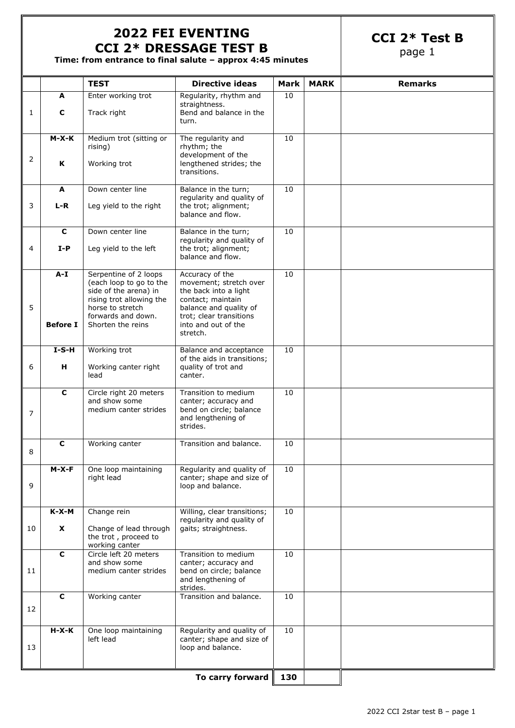#### **2022 FEI EVENTING CCI 2\* DRESSAGE TEST B**

**CCI 2\* Test B**

page 1

**Time: from entrance to final salute – approx 4:45 minutes**

|    |                 | <b>TEST</b>                                                                                                                                     | <b>Directive ideas</b>                                                                                                                       | Mark | <b>MARK</b> | <b>Remarks</b> |
|----|-----------------|-------------------------------------------------------------------------------------------------------------------------------------------------|----------------------------------------------------------------------------------------------------------------------------------------------|------|-------------|----------------|
|    | A               | Enter working trot                                                                                                                              | Regularity, rhythm and                                                                                                                       | 10   |             |                |
| 1  | C               | Track right                                                                                                                                     | straightness.<br>Bend and balance in the<br>turn.                                                                                            |      |             |                |
|    | $M-X-K$         | Medium trot (sitting or<br>rising)                                                                                                              | The regularity and<br>rhythm; the<br>development of the                                                                                      | 10   |             |                |
| 2  | ĸ               | Working trot                                                                                                                                    | lengthened strides; the<br>transitions.                                                                                                      |      |             |                |
|    | A               | Down center line                                                                                                                                | Balance in the turn;<br>regularity and quality of                                                                                            | 10   |             |                |
| 3  | $L-R$           | Leg yield to the right                                                                                                                          | the trot; alignment;<br>balance and flow.                                                                                                    |      |             |                |
|    | $\mathbf c$     | Down center line                                                                                                                                | Balance in the turn;<br>regularity and quality of                                                                                            | 10   |             |                |
| 4  | $I-P$           | Leg yield to the left                                                                                                                           | the trot; alignment;<br>balance and flow.                                                                                                    |      |             |                |
| 5  | $A-I$           | Serpentine of 2 loops<br>(each loop to go to the<br>side of the arena) in<br>rising trot allowing the<br>horse to stretch<br>forwards and down. | Accuracy of the<br>movement; stretch over<br>the back into a light<br>contact; maintain<br>balance and quality of<br>trot; clear transitions | 10   |             |                |
|    | <b>Before I</b> | Shorten the reins                                                                                                                               | into and out of the<br>stretch.                                                                                                              |      |             |                |
|    | $I-S-H$         | Working trot                                                                                                                                    | Balance and acceptance<br>of the aids in transitions;                                                                                        | 10   |             |                |
| 6  | H               | Working canter right<br>lead                                                                                                                    | quality of trot and<br>canter.                                                                                                               |      |             |                |
|    | $\mathbf c$     | Circle right 20 meters<br>and show some<br>medium canter strides                                                                                | Transition to medium<br>canter; accuracy and<br>bend on circle; balance                                                                      | 10   |             |                |
| 7  |                 |                                                                                                                                                 | and lengthening of<br>strides.                                                                                                               |      |             |                |
| 8  | $\mathbf c$     | Working canter                                                                                                                                  | Transition and balance.                                                                                                                      | 10   |             |                |
| 9  | $M-X-F$         | One loop maintaining<br>right lead                                                                                                              | Regularity and quality of<br>canter; shape and size of<br>loop and balance.                                                                  | 10   |             |                |
|    | $K-X-M$         | Change rein                                                                                                                                     | Willing, clear transitions;<br>regularity and quality of                                                                                     | 10   |             |                |
| 10 | X               | Change of lead through<br>the trot, proceed to<br>working canter                                                                                | gaits; straightness.                                                                                                                         |      |             |                |
|    | $\mathbf c$     | Circle left 20 meters<br>and show some                                                                                                          | Transition to medium<br>canter; accuracy and                                                                                                 | 10   |             |                |
| 11 |                 | medium canter strides                                                                                                                           | bend on circle; balance<br>and lengthening of<br>strides.                                                                                    |      |             |                |
| 12 | $\mathbf c$     | Working canter                                                                                                                                  | Transition and balance.                                                                                                                      | 10   |             |                |
|    | $H-X-K$         | One loop maintaining                                                                                                                            | Regularity and quality of                                                                                                                    | 10   |             |                |
| 13 |                 | left lead                                                                                                                                       | canter; shape and size of<br>loop and balance.                                                                                               |      |             |                |
|    |                 |                                                                                                                                                 | To carry forward                                                                                                                             | 130  |             |                |